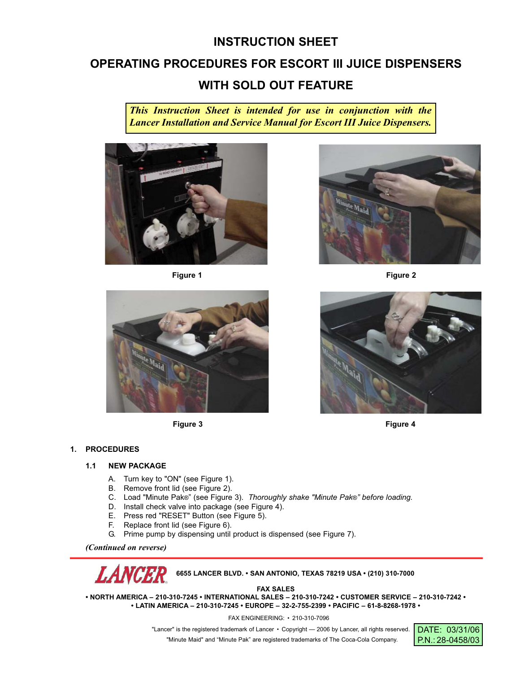# **INSTRUCTION SHEET**

## **OPERATING PROCEDURES FOR ESCORT III JUICE DISPENSERS**

# **WITH SOLD OUT FEATURE**

*This Instruction Sheet is intended for use in conjunction with the Lancer Installation and Service Manual for Escort III Juice Dispensers.*





**Figure 1 Figure 2**



**Figure 3 Figure 4**

## **1. PROCEDURES**

## **1.1 NEW PACKAGE**

- A. Turn key to "ON" (see Figure 1).
- B. Remove front lid (see Figure 2).
- C. Load "Minute Pak®" (see Figure 3). *Thoroughly shake "Minute Pak®" before loading.*
- D. Install check valve into package (see Figure 4).
- E. Press red "RESET" Button (see Figure 5).
- F. Replace front lid (see Figure 6).
- G. Prime pump by dispensing until product is dispensed (see Figure 7).

*(Continued on reverse)*



**FAX SALES**

**• NORTH AMERICA – 210-310-7245 • INTERNATIONAL SALES – 210-310-7242 • CUSTOMER SERVICE – 210-310-7242 • • LATIN AMERICA – 210-310-7245 • EUROPE – 32-2-755-2399 • PACIFIC – 61-8-8268-1978 •**

FAX ENGINEERING: • 210-310-7096

"Lancer" is the registered trademark of Lancer • Copyright - 2006 by Lancer, all rights reserved. "Minute Maid" and "Minute Pak" are registered trademarks of The Coca-Cola Company.